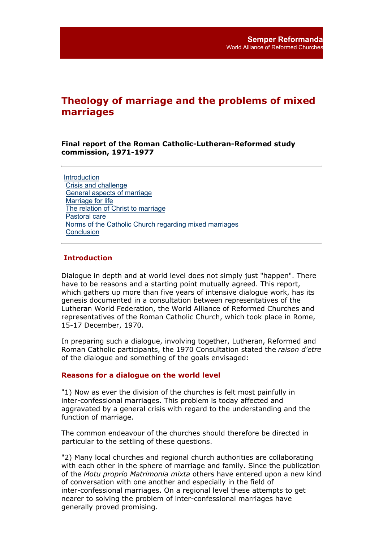# **Theology of marriage and the problems of mixed marriages**

**Final report of the Roman Catholic-Lutheran-Reformed study commission, 1971-1977**

**Introduction** Crisis and challenge General aspects of marriage Marriage for life The relation of Christ to marriage Pastoral care Norms of the Catholic Church regarding mixed marriages **Conclusion** 

### **Introduction**

Dialogue in depth and at world level does not simply just "happen". There have to be reasons and a starting point mutually agreed. This report, which gathers up more than five years of intensive dialogue work, has its genesis documented in a consultation between representatives of the Lutheran World Federation, the World Alliance of Reformed Churches and representatives of the Roman Catholic Church, which took place in Rome, 15-17 December, 1970.

In preparing such a dialogue, involving together, Lutheran, Reformed and Roman Catholic participants, the 1970 Consultation stated the *raison d'etre* of the dialogue and something of the goals envisaged:

#### **Reasons for a dialogue on the world level**

"1) Now as ever the division of the churches is felt most painfully in inter-confessional marriages. This problem is today affected and aggravated by a general crisis with regard to the understanding and the function of marriage.

The common endeavour of the churches should therefore be directed in particular to the settling of these questions.

"2) Many local churches and regional church authorities are collaborating with each other in the sphere of marriage and family. Since the publication of the *Motu proprio Matrimonia mixta* others have entered upon a new kind of conversation with one another and especially in the field of inter-confessional marriages. On a regional level these attempts to get nearer to solving the problem of inter-confessional marriages have generally proved promising.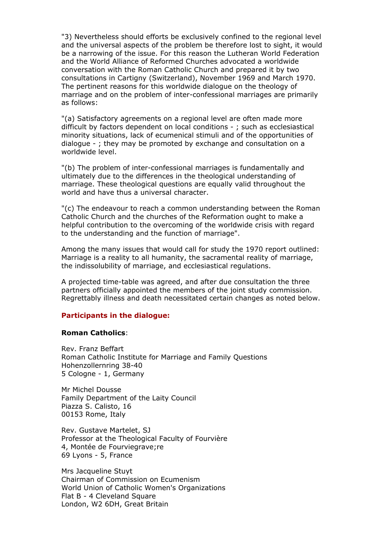"3) Nevertheless should efforts be exclusively confined to the regional level and the universal aspects of the problem be therefore lost to sight, it would be a narrowing of the issue. For this reason the Lutheran World Federation and the World Alliance of Reformed Churches advocated a worldwide conversation with the Roman Catholic Church and prepared it by two consultations in Cartigny (Switzerland), November 1969 and March 1970. The pertinent reasons for this worldwide dialogue on the theology of marriage and on the problem of inter-confessional marriages are primarily as follows:

"(a) Satisfactory agreements on a regional level are often made more difficult by factors dependent on local conditions - ; such as ecclesiastical minority situations, lack of ecumenical stimuli and of the opportunities of dialogue - ; they may be promoted by exchange and consultation on a worldwide level.

"(b) The problem of inter-confessional marriages is fundamentally and ultimately due to the differences in the theological understanding of marriage. These theological questions are equally valid throughout the world and have thus a universal character.

"(c) The endeavour to reach a common understanding between the Roman Catholic Church and the churches of the Reformation ought to make a helpful contribution to the overcoming of the worldwide crisis with regard to the understanding and the function of marriage".

Among the many issues that would call for study the 1970 report outlined: Marriage is a reality to all humanity, the sacramental reality of marriage, the indissolubility of marriage, and ecclesiastical regulations.

A projected time-table was agreed, and after due consultation the three partners officially appointed the members of the joint study commission. Regrettably illness and death necessitated certain changes as noted below.

#### **Participants in the dialogue:**

#### **Roman Catholics**:

Rev. Franz Beffart Roman Catholic Institute for Marriage and Family Questions Hohenzollernring 38-40 5 Cologne - 1, Germany

Mr Michel Dousse Family Department of the Laity Council Piazza S. Calisto, 16 00153 Rome, Italy

Rev. Gustave Martelet, SJ Professor at the Theological Faculty of Fourvière 4, Montée de Fourviegrave;re 69 Lyons - 5, France

Mrs Jacqueline Stuyt Chairman of Commission on Ecumenism World Union of Catholic Women's Organizations Flat B - 4 Cleveland Square London, W2 6DH, Great Britain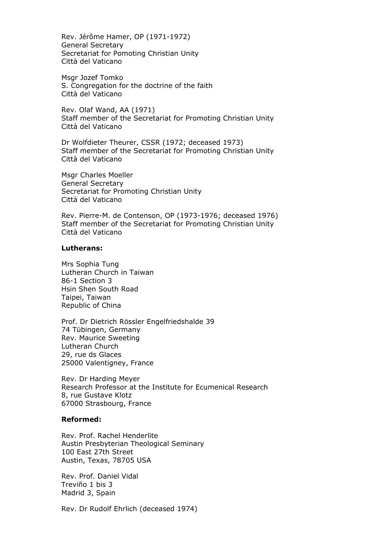Rev. Jérôme Hamer, OP (1971-1972) General Secretary Secretariat for Pomoting Christian Unity Città del Vaticano

Msgr Jozef Tomko S. Congregation for the doctrine of the faith Città del Vaticano

Rev. Olaf Wand, AA (1971) Staff member of the Secretariat for Promoting Christian Unity Città del Vaticano

Dr Wolfdieter Theurer, CSSR (1972; deceased 1973) Staff member of the Secretariat for Promoting Christian Unity Città del Vaticano

Msgr Charles Moeller General Secretary Secretariat for Promoting Christian Unity Città del Vaticano

Rev. Pierre-M. de Contenson, OP (1973-1976; deceased 1976) Staff member of the Secretariat for Promoting Christian Unity Città del Vaticano

#### **Lutherans:**

Mrs Sophia Tung Lutheran Church in Taiwan 86-1 Section 3 Hsin Shen South Road Taipei, Taiwan Republic of China

Prof. Dr Dietrich Rössler Engelfriedshalde 39 74 Tübingen, Germany Rev. Maurice Sweeting Lutheran Church 29, rue ds Glaces 25000 Valentigney, France

Rev. Dr Harding Meyer Research Professor at the Institute for Ecumenical Research 8, rue Gustave Klotz 67000 Strasbourg, France

#### **Reformed:**

Rev. Prof. Rachel Henderlite Austin Presbyterian Theological Seminary 100 East 27th Street Austin, Texas, 78705 USA

Rev. Prof. Daniel Vidal Treviño 1 bis 3 Madrid 3, Spain

Rev. Dr Rudolf Ehrlich (deceased 1974)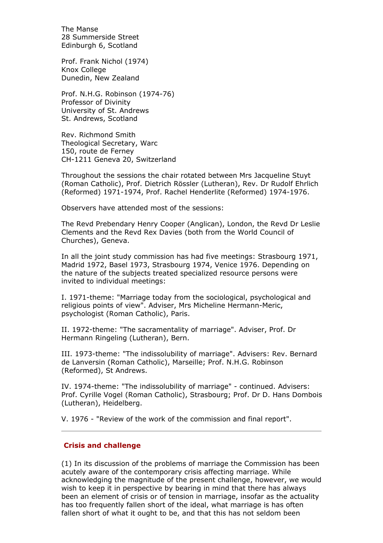The Manse 28 Summerside Street Edinburgh 6, Scotland

Prof. Frank Nichol (1974) Knox College Dunedin, New Zealand

Prof. N.H.G. Robinson (1974-76) Professor of Divinity University of St. Andrews St. Andrews, Scotland

Rev. Richmond Smith Theological Secretary, Warc 150, route de Ferney CH-1211 Geneva 20, Switzerland

Throughout the sessions the chair rotated between Mrs Jacqueline Stuyt (Roman Catholic), Prof. Dietrich Rössler (Lutheran), Rev. Dr Rudolf Ehrlich (Reformed) 1971-1974, Prof. Rachel Henderlite (Reformed) 1974-1976.

Observers have attended most of the sessions:

The Revd Prebendary Henry Cooper (Anglican), London, the Revd Dr Leslie Clements and the Revd Rex Davies (both from the World Council of Churches), Geneva.

In all the joint study commission has had five meetings: Strasbourg 1971, Madrid 1972, Basel 1973, Strasbourg 1974, Venice 1976. Depending on the nature of the subjects treated specialized resource persons were invited to individual meetings:

I. 1971-theme: "Marriage today from the sociological, psychological and religious points of view". Adviser, Mrs Micheline Hermann-Meric, psychologist (Roman Catholic), Paris.

II. 1972-theme: "The sacramentality of marriage". Adviser, Prof. Dr Hermann Ringeling (Lutheran), Bern.

III. 1973-theme: "The indissolubility of marriage". Advisers: Rev. Bernard de Lanversin (Roman Catholic), Marseille; Prof. N.H.G. Robinson (Reformed), St Andrews.

IV. 1974-theme: "The indissolubility of marriage" - continued. Advisers: Prof. Cyrille Vogel (Roman Catholic), Strasbourg; Prof. Dr D. Hans Dombois (Lutheran), Heidelberg.

V. 1976 - "Review of the work of the commission and final report".

### **Crisis and challenge**

(1) In its discussion of the problems of marriage the Commission has been acutely aware of the contemporary crisis affecting marriage. While acknowledging the magnitude of the present challenge, however, we would wish to keep it in perspective by bearing in mind that there has always been an element of crisis or of tension in marriage, insofar as the actuality has too frequently fallen short of the ideal, what marriage is has often fallen short of what it ought to be, and that this has not seldom been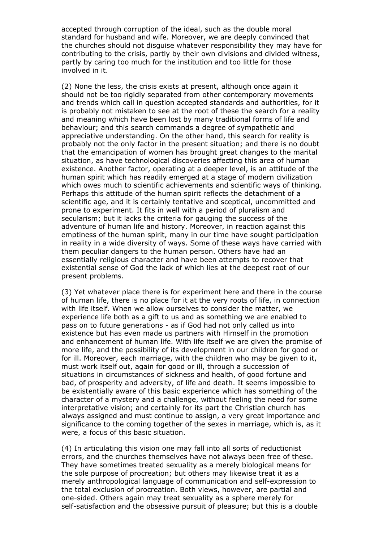accepted through corruption of the ideal, such as the double moral standard for husband and wife. Moreover, we are deeply convinced that the churches should not disguise whatever responsibility they may have for contributing to the crisis, partly by their own divisions and divided witness, partly by caring too much for the institution and too little for those involved in it.

(2) None the less, the crisis exists at present, although once again it should not be too rigidly separated from other contemporary movements and trends which call in question accepted standards and authorities, for it is probably not mistaken to see at the root of these the search for a reality and meaning which have been lost by many traditional forms of life and behaviour; and this search commands a degree of sympathetic and appreciative understanding. On the other hand, this search for reality is probably not the only factor in the present situation; and there is no doubt that the emancipation of women has brought great changes to the marital situation, as have technological discoveries affecting this area of human existence. Another factor, operating at a deeper level, is an attitude of the human spirit which has readily emerged at a stage of modern civilization which owes much to scientific achievements and scientific ways of thinking. Perhaps this attitude of the human spirit reflects the detachment of a scientific age, and it is certainly tentative and sceptical, uncommitted and prone to experiment. It fits in well with a period of pluralism and secularism; but it lacks the criteria for gauging the success of the adventure of human life and history. Moreover, in reaction against this emptiness of the human spirit, many in our time have sought participation in reality in a wide diversity of ways. Some of these ways have carried with them peculiar dangers to the human person. Others have had an essentially religious character and have been attempts to recover that existential sense of God the lack of which lies at the deepest root of our present problems.

(3) Yet whatever place there is for experiment here and there in the course of human life, there is no place for it at the very roots of life, in connection with life itself. When we allow ourselves to consider the matter, we experience life both as a gift to us and as something we are enabled to pass on to future generations - as if God had not only called us into existence but has even made us partners with Himself in the promotion and enhancement of human life. With life itself we are given the promise of more life, and the possibility of its development in our children for good or for ill. Moreover, each marriage, with the children who may be given to it, must work itself out, again for good or ill, through a succession of situations in circumstances of sickness and health, of good fortune and bad, of prosperity and adversity, of life and death. It seems impossible to be existentially aware of this basic experience which has something of the character of a mystery and a challenge, without feeling the need for some interpretative vision; and certainly for its part the Christian church has always assigned and must continue to assign, a very great importance and significance to the coming together of the sexes in marriage, which is, as it were, a focus of this basic situation.

(4) In articulating this vision one may fall into all sorts of reductionist errors, and the churches themselves have not always been free of these. They have sometimes treated sexuality as a merely biological means for the sole purpose of procreation; but others may likewise treat it as a merely anthropological language of communication and self-expression to the total exclusion of procreation. Both views, however, are partial and one-sided. Others again may treat sexuality as a sphere merely for self-satisfaction and the obsessive pursuit of pleasure; but this is a double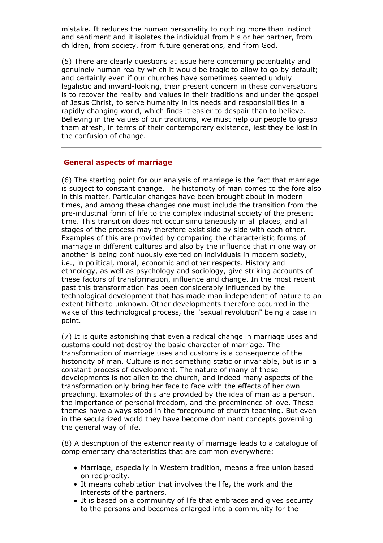mistake. It reduces the human personality to nothing more than instinct and sentiment and it isolates the individual from his or her partner, from children, from society, from future generations, and from God.

(5) There are clearly questions at issue here concerning potentiality and genuinely human reality which it would be tragic to allow to go by default; and certainly even if our churches have sometimes seemed unduly legalistic and inward-looking, their present concern in these conversations is to recover the reality and values in their traditions and under the gospel of Jesus Christ, to serve humanity in its needs and responsibilities in a rapidly changing world, which finds it easier to despair than to believe. Believing in the values of our traditions, we must help our people to grasp them afresh, in terms of their contemporary existence, lest they be lost in the confusion of change.

#### **General aspects of marriage**

(6) The starting point for our analysis of marriage is the fact that marriage is subject to constant change. The historicity of man comes to the fore also in this matter. Particular changes have been brought about in modern times, and among these changes one must include the transition from the pre-industrial form of life to the complex industrial society of the present time. This transition does not occur simultaneously in all places, and all stages of the process may therefore exist side by side with each other. Examples of this are provided by comparing the characteristic forms of marriage in different cultures and also by the influence that in one way or another is being continuously exerted on individuals in modern society, i.e., in political, moral, economic and other respects. History and ethnology, as well as psychology and sociology, give striking accounts of these factors of transformation, influence and change. In the most recent past this transformation has been considerably influenced by the technological development that has made man independent of nature to an extent hitherto unknown. Other developments therefore occurred in the wake of this technological process, the "sexual revolution" being a case in point.

(7) It is quite astonishing that even a radical change in marriage uses and customs could not destroy the basic character of marriage. The transformation of marriage uses and customs is a consequence of the historicity of man. Culture is not something static or invariable, but is in a constant process of development. The nature of many of these developments is not alien to the church, and indeed many aspects of the transformation only bring her face to face with the effects of her own preaching. Examples of this are provided by the idea of man as a person, the importance of personal freedom, and the preeminence of love. These themes have always stood in the foreground of church teaching. But even in the secularized world they have become dominant concepts governing the general way of life.

(8) A description of the exterior reality of marriage leads to a catalogue of complementary characteristics that are common everywhere:

- Marriage, especially in Western tradition, means a free union based on reciprocity.
- It means cohabitation that involves the life, the work and the interests of the partners.
- It is based on a community of life that embraces and gives security to the persons and becomes enlarged into a community for the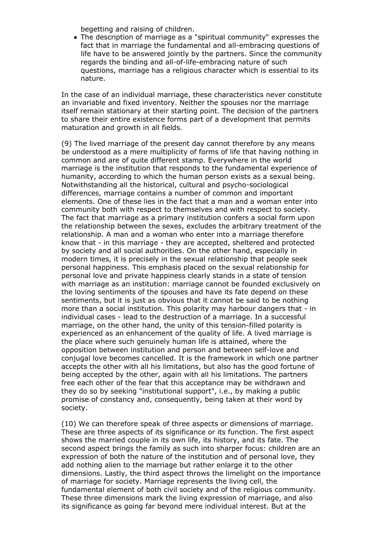begetting and raising of children.

The description of marriage as a "spiritual community" expresses the fact that in marriage the fundamental and all-embracing questions of life have to be answered jointly by the partners. Since the community regards the binding and all-of-life-embracing nature of such questions, marriage has a religious character which is essential to its nature.

In the case of an individual marriage, these characteristics never constitute an invariable and fixed inventory. Neither the spouses nor the marriage itself remain stationary at their starting point. The decision of the partners to share their entire existence forms part of a development that permits maturation and growth in all fields.

(9) The lived marriage of the present day cannot therefore by any means be understood as a mere multiplicity of forms of life that having nothing in common and are of quite different stamp. Everywhere in the world marriage is the institution that responds to the fundamental experience of humanity, according to which the human person exists as a sexual being. Notwithstanding all the historical, cultural and psycho-sociological differences, marriage contains a number of common and important elements. One of these lies in the fact that a man and a woman enter into community both with respect to themselves and with respect to society. The fact that marriage as a primary institution confers a social form upon the relationship between the sexes, excludes the arbitrary treatment of the relationship. A man and a woman who enter into a marriage therefore know that - in this marriage - they are accepted, sheltered and protected by society and all social authorities. On the other hand, especially in modern times, it is precisely in the sexual relationship that people seek personal happiness. This emphasis placed on the sexual relationship for personal love and private happiness clearly stands in a state of tension with marriage as an institution: marriage cannot be founded exclusively on the loving sentiments of the spouses and have its fate depend on these sentiments, but it is just as obvious that it cannot be said to be nothing more than a social institution. This polarity may harbour dangers that - in individual cases - lead to the destruction of a marriage. In a successful marriage, on the other hand, the unity of this tension-filled polarity is experienced as an enhancement of the quality of life. A lived marriage is the place where such genuinely human life is attained, where the opposition between institution and person and between self-love and conjugal love becomes cancelled. It is the framework in which one partner accepts the other with all his limitations, but also has the good fortune of being accepted by the other, again with all his limitations. The partners free each other of the fear that this acceptance may be withdrawn and they do so by seeking "institutional support", i.e., by making a public promise of constancy and, consequently, being taken at their word by society.

(10) We can therefore speak of three aspects or dimensions of marriage. These are three aspects of its significance or its function. The first aspect shows the married couple in its own life, its history, and its fate. The second aspect brings the family as such into sharper focus: children are an expression of both the nature of the institution and of personal love, they add nothing alien to the marriage but rather enlarge it to the other dimensions. Lastly, the third aspect throws the limelight on the importance of marriage for society. Marriage represents the living cell, the fundamental element of both civil society and of the religious community. These three dimensions mark the living expression of marriage, and also its significance as going far beyond mere individual interest. But at the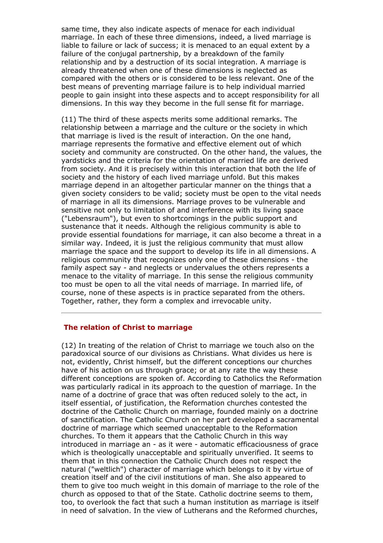same time, they also indicate aspects of menace for each individual marriage. In each of these three dimensions, indeed, a lived marriage is liable to failure or lack of success; it is menaced to an equal extent by a failure of the conjugal partnership, by a breakdown of the family relationship and by a destruction of its social integration. A marriage is already threatened when one of these dimensions is neglected as compared with the others or is considered to be less relevant. One of the best means of preventing marriage failure is to help individual married people to gain insight into these aspects and to accept responsibility for all dimensions. In this way they become in the full sense fit for marriage.

(11) The third of these aspects merits some additional remarks. The relationship between a marriage and the culture or the society in which that marriage is lived is the result of interaction. On the one hand, marriage represents the formative and effective element out of which society and community are constructed. On the other hand, the values, the yardsticks and the criteria for the orientation of married life are derived from society. And it is precisely within this interaction that both the life of society and the history of each lived marriage unfold. But this makes marriage depend in an altogether particular manner on the things that a given society considers to be valid; society must be open to the vital needs of marriage in all its dimensions. Marriage proves to be vulnerable and sensitive not only to limitation of and interference with its living space ("Lebensraum"), but even to shortcomings in the public support and sustenance that it needs. Although the religious community is able to provide essential foundations for marriage, it can also become a threat in a similar way. Indeed, it is just the religious community that must allow marriage the space and the support to develop its life in all dimensions. A religious community that recognizes only one of these dimensions - the family aspect say - and neglects or undervalues the others represents a menace to the vitality of marriage. In this sense the religious community too must be open to all the vital needs of marriage. In married life, of course, none of these aspects is in practice separated from the others. Together, rather, they form a complex and irrevocable unity.

### **The relation of Christ to marriage**

(12) In treating of the relation of Christ to marriage we touch also on the paradoxical source of our divisions as Christians. What divides us here is not, evidently, Christ himself, but the different conceptions our churches have of his action on us through grace; or at any rate the way these different conceptions are spoken of. According to Catholics the Reformation was particularly radical in its approach to the question of marriage. In the name of a doctrine of grace that was often reduced solely to the act, in itself essential, of justification, the Reformation churches contested the doctrine of the Catholic Church on marriage, founded mainly on a doctrine of sanctification. The Catholic Church on her part developed a sacramental doctrine of marriage which seemed unacceptable to the Reformation churches. To them it appears that the Catholic Church in this way introduced in marriage an - as it were - automatic efficaciousness of grace which is theologically unacceptable and spiritually unverified. It seems to them that in this connection the Catholic Church does not respect the natural ("weltlich") character of marriage which belongs to it by virtue of creation itself and of the civil institutions of man. She also appeared to them to give too much weight in this domain of marriage to the role of the church as opposed to that of the State. Catholic doctrine seems to them, too, to overlook the fact that such a human institution as marriage is itself in need of salvation. In the view of Lutherans and the Reformed churches,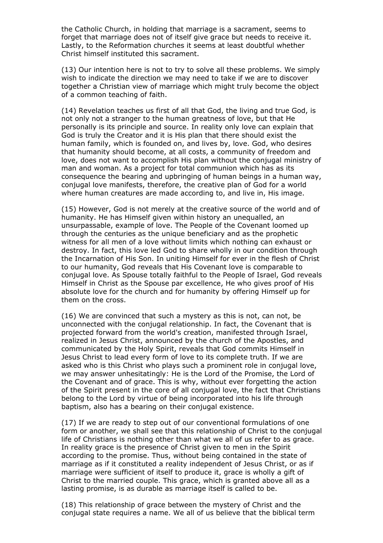the Catholic Church, in holding that marriage is a sacrament, seems to forget that marriage does not of itself give grace but needs to receive it. Lastly, to the Reformation churches it seems at least doubtful whether Christ himself instituted this sacrament.

(13) Our intention here is not to try to solve all these problems. We simply wish to indicate the direction we may need to take if we are to discover together a Christian view of marriage which might truly become the object of a common teaching of faith.

(14) Revelation teaches us first of all that God, the living and true God, is not only not a stranger to the human greatness of love, but that He personally is its principle and source. In reality only love can explain that God is truly the Creator and it is His plan that there should exist the human family, which is founded on, and lives by, love. God, who desires that humanity should become, at all costs, a community of freedom and love, does not want to accomplish His plan without the conjugal ministry of man and woman. As a project for total communion which has as its consequence the bearing and upbringing of human beings in a human way, conjugal love manifests, therefore, the creative plan of God for a world where human creatures are made according to, and live in, His image.

(15) However, God is not merely at the creative source of the world and of humanity. He has Himself given within history an unequalled, an unsurpassable, example of love. The People of the Covenant loomed up through the centuries as the unique beneficiary and as the prophetic witness for all men of a love without limits which nothing can exhaust or destroy. In fact, this love led God to share wholly in our condition through the Incarnation of His Son. In uniting Himself for ever in the flesh of Christ to our humanity, God reveals that His Covenant love is comparable to conjugal love. As Spouse totally faithful to the People of Israel, God reveals Himself in Christ as the Spouse par excellence, He who gives proof of His absolute love for the church and for humanity by offering Himself up for them on the cross.

(16) We are convinced that such a mystery as this is not, can not, be unconnected with the conjugal relationship. In fact, the Covenant that is projected forward from the world's creation, manifested through Israel, realized in Jesus Christ, announced by the church of the Apostles, and communicated by the Holy Spirit, reveals that God commits Himself in Jesus Christ to lead every form of love to its complete truth. If we are asked who is this Christ who plays such a prominent role in conjugal love, we may answer unhesitatingly: He is the Lord of the Promise, the Lord of the Covenant and of grace. This is why, without ever forgetting the action of the Spirit present in the core of all conjugal love, the fact that Christians belong to the Lord by virtue of being incorporated into his life through baptism, also has a bearing on their conjugal existence.

(17) If we are ready to step out of our conventional formulations of one form or another, we shall see that this relationship of Christ to the conjugal life of Christians is nothing other than what we all of us refer to as grace. In reality grace is the presence of Christ given to men in the Spirit according to the promise. Thus, without being contained in the state of marriage as if it constituted a reality independent of Jesus Christ, or as if marriage were sufficient of itself to produce it, grace is wholly a gift of Christ to the married couple. This grace, which is granted above all as a lasting promise, is as durable as marriage itself is called to be.

(18) This relationship of grace between the mystery of Christ and the conjugal state requires a name. We all of us believe that the biblical term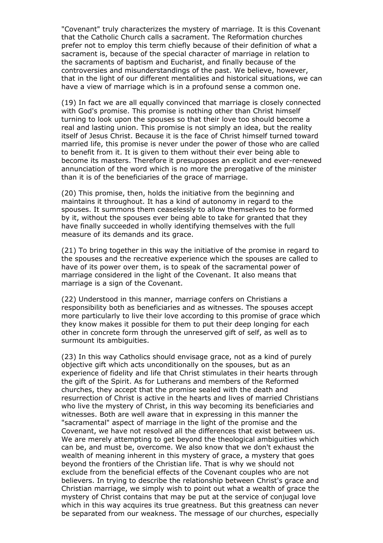"Covenant" truly characterizes the mystery of marriage. It is this Covenant that the Catholic Church calls a sacrament. The Reformation churches prefer not to employ this term chiefly because of their definition of what a sacrament is, because of the special character of marriage in relation to the sacraments of baptism and Eucharist, and finally because of the controversies and misunderstandings of the past. We believe, however, that in the light of our different mentalities and historical situations, we can have a view of marriage which is in a profound sense a common one.

(19) In fact we are all equally convinced that marriage is closely connected with God's promise. This promise is nothing other than Christ himself turning to look upon the spouses so that their love too should become a real and lasting union. This promise is not simply an idea, but the reality itself of Jesus Christ. Because it is the face of Christ himself turned toward married life, this promise is never under the power of those who are called to benefit from it. It is given to them without their ever being able to become its masters. Therefore it presupposes an explicit and ever-renewed annunciation of the word which is no more the prerogative of the minister than it is of the beneficiaries of the grace of marriage.

(20) This promise, then, holds the initiative from the beginning and maintains it throughout. It has a kind of autonomy in regard to the spouses. It summons them ceaselessly to allow themselves to be formed by it, without the spouses ever being able to take for granted that they have finally succeeded in wholly identifying themselves with the full measure of its demands and its grace.

(21) To bring together in this way the initiative of the promise in regard to the spouses and the recreative experience which the spouses are called to have of its power over them, is to speak of the sacramental power of marriage considered in the light of the Covenant. It also means that marriage is a sign of the Covenant.

(22) Understood in this manner, marriage confers on Christians a responsibility both as beneficiaries and as witnesses. The spouses accept more particularly to live their love according to this promise of grace which they know makes it possible for them to put their deep longing for each other in concrete form through the unreserved gift of self, as well as to surmount its ambiguities.

(23) In this way Catholics should envisage grace, not as a kind of purely objective gift which acts unconditionally on the spouses, but as an experience of fidelity and life that Christ stimulates in their hearts through the gift of the Spirit. As for Lutherans and members of the Reformed churches, they accept that the promise sealed with the death and resurrection of Christ is active in the hearts and lives of married Christians who live the mystery of Christ, in this way becoming its beneficiaries and witnesses. Both are well aware that in expressing in this manner the "sacramental" aspect of marriage in the light of the promise and the Covenant, we have not resolved all the differences that exist between us. We are merely attempting to get beyond the theological ambiguities which can be, and must be, overcome. We also know that we don't exhaust the wealth of meaning inherent in this mystery of grace, a mystery that goes beyond the frontiers of the Christian life. That is why we should not exclude from the beneficial effects of the Covenant couples who are not believers. In trying to describe the relationship between Christ's grace and Christian marriage, we simply wish to point out what a wealth of grace the mystery of Christ contains that may be put at the service of conjugal love which in this way acquires its true greatness. But this greatness can never be separated from our weakness. The message of our churches, especially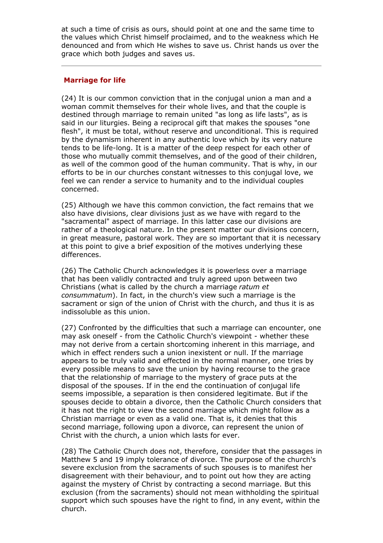at such a time of crisis as ours, should point at one and the same time to the values which Christ himself proclaimed, and to the weakness which He denounced and from which He wishes to save us. Christ hands us over the grace which both judges and saves us.

### **Marriage for life**

(24) It is our common conviction that in the conjugal union a man and a woman commit themselves for their whole lives, and that the couple is destined through marriage to remain united "as long as life lasts", as is said in our liturgies. Being a reciprocal gift that makes the spouses "one flesh", it must be total, without reserve and unconditional. This is required by the dynamism inherent in any authentic love which by its very nature tends to be life-long. It is a matter of the deep respect for each other of those who mutually commit themselves, and of the good of their children, as well of the common good of the human community. That is why, in our efforts to be in our churches constant witnesses to this conjugal love, we feel we can render a service to humanity and to the individual couples concerned.

(25) Although we have this common conviction, the fact remains that we also have divisions, clear divisions just as we have with regard to the "sacramental" aspect of marriage. In this latter case our divisions are rather of a theological nature. In the present matter our divisions concern, in great measure, pastoral work. They are so important that it is necessary at this point to give a brief exposition of the motives underlying these differences.

(26) The Catholic Church acknowledges it is powerless over a marriage that has been validly contracted and truly agreed upon between two Christians (what is called by the church a marriage *ratum et consummatum*). In fact, in the church's view such a marriage is the sacrament or sign of the union of Christ with the church, and thus it is as indissoluble as this union.

(27) Confronted by the difficulties that such a marriage can encounter, one may ask oneself - from the Catholic Church's viewpoint - whether these may not derive from a certain shortcoming inherent in this marriage, and which in effect renders such a union inexistent or null. If the marriage appears to be truly valid and effected in the normal manner, one tries by every possible means to save the union by having recourse to the grace that the relationship of marriage to the mystery of grace puts at the disposal of the spouses. If in the end the continuation of conjugal life seems impossible, a separation is then considered legitimate. But if the spouses decide to obtain a divorce, then the Catholic Church considers that it has not the right to view the second marriage which might follow as a Christian marriage or even as a valid one. That is, it denies that this second marriage, following upon a divorce, can represent the union of Christ with the church, a union which lasts for ever.

(28) The Catholic Church does not, therefore, consider that the passages in Matthew 5 and 19 imply tolerance of divorce. The purpose of the church's severe exclusion from the sacraments of such spouses is to manifest her disagreement with their behaviour, and to point out how they are acting against the mystery of Christ by contracting a second marriage. But this exclusion (from the sacraments) should not mean withholding the spiritual support which such spouses have the right to find, in any event, within the church.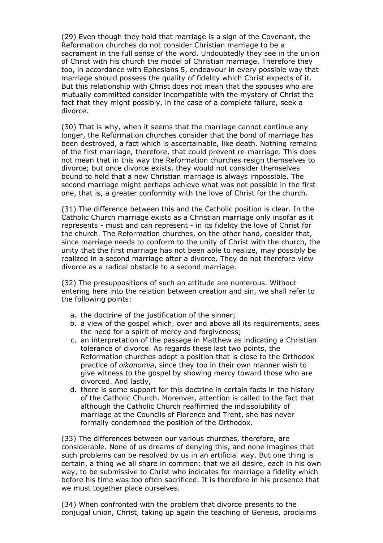(29) Even though they hold that marriage is a sign of the Covenant, the Reformation churches do not consider Christian marriage to be a sacrament in the full sense of the word. Undoubtedly they see in the union of Christ with his church the model of Christian marriage. Therefore they too, in accordance with Ephesians 5, endeavour in every possible way that marriage should possess the quality of fidelity which Christ expects of it. But this relationship with Christ does not mean that the spouses who are mutually committed consider incompatible with the mystery of Christ the fact that they might possibly, in the case of a complete failure, seek a divorce.

(30) That is why, when it seems that the marriage cannot continue any longer, the Reformation churches consider that the bond of marriage has been destroyed, a fact which is ascertainable, like death. Nothing remains of the first marriage, therefore, that could prevent re-marriage. This does not mean that in this way the Reformation churches resign themselves to divorce; but once divorce exists, they would not consider themselves bound to hold that a new Christian marriage is always impossible. The second marriage might perhaps achieve what was not possible in the first one, that is, a greater conformity with the love of Christ for the church.

(31) The difference between this and the Catholic position is clear. In the Catholic Church marriage exists as a Christian marriage only insofar as it represents - must and can represent - in its fidelity the love of Christ for the church. The Reformation churches, on the other hand, consider that, since marriage needs to conform to the unity of Christ with the church, the unity that the first marriage has not been able to realize, may possibly be realized in a second marriage after a divorce. They do not therefore view divorce as a radical obstacle to a second marriage.

(32) The presuppositions of such an attitude are numerous. Without entering here into the relation between creation and sin, we shall refer to the following points:

- a. the doctrine of the justification of the sinner;
- b. a view of the gospel which, over and above all its requirements, sees the need for a spirit of mercy and forgiveness;
- c. an interpretation of the passage in Matthew as indicating a Christian tolerance of divorce. As regards these last two points, the Reformation churches adopt a position that is close to the Orthodox practice of *oikonomia*, since they too in their own manner wish to give witness to the gospel by showing mercy toward those who are divorced. And lastly,
- d. there is some support for this doctrine in certain facts in the history of the Catholic Church. Moreover, attention is called to the fact that although the Catholic Church reaffirmed the indissolubility of marriage at the Councils of Florence and Trent, she has never formally condemned the position of the Orthodox.

(33) The differences between our various churches, therefore, are considerable. None of us dreams of denying this, and none imagines that such problems can be resolved by us in an artificial way. But one thing is certain, a thing we all share in common: that we all desire, each in his own way, to be submissive to Christ who indicates for marriage a fidelity which before his time was too often sacrificed. It is therefore in his presence that we must together place ourselves.

(34) When confronted with the problem that divorce presents to the conjugal union, Christ, taking up again the teaching of Genesis, proclaims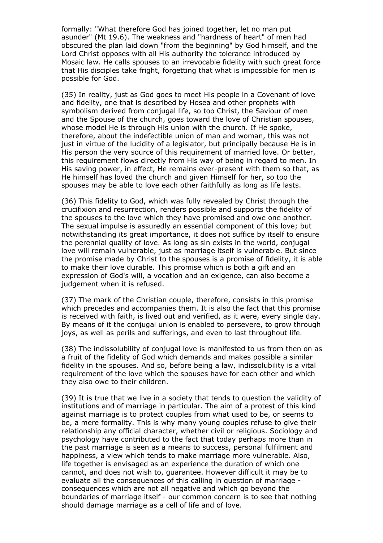formally: "What therefore God has joined together, let no man put asunder" (Mt 19.6). The weakness and "hardness of heart" of men had obscured the plan laid down "from the beginning" by God himself, and the Lord Christ opposes with all His authority the tolerance introduced by Mosaic law. He calls spouses to an irrevocable fidelity with such great force that His disciples take fright, forgetting that what is impossible for men is possible for God.

(35) In reality, just as God goes to meet His people in a Covenant of love and fidelity, one that is described by Hosea and other prophets with symbolism derived from conjugal life, so too Christ, the Saviour of men and the Spouse of the church, goes toward the love of Christian spouses, whose model He is through His union with the church. If He spoke, therefore, about the indefectible union of man and woman, this was not just in virtue of the lucidity of a legislator, but principally because He is in His person the very source of this requirement of married love. Or better, this requirement flows directly from His way of being in regard to men. In His saving power, in effect, He remains ever-present with them so that, as He himself has loved the church and given Himself for her, so too the spouses may be able to love each other faithfully as long as life lasts.

(36) This fidelity to God, which was fully revealed by Christ through the crucifixion and resurrection, renders possible and supports the fidelity of the spouses to the love which they have promised and owe one another. The sexual impulse is assuredly an essential component of this love; but notwithstanding its great importance, it does not suffice by itself to ensure the perennial quality of love. As long as sin exists in the world, conjugal love will remain vulnerable, just as marriage itself is vulnerable. But since the promise made by Christ to the spouses is a promise of fidelity, it is able to make their love durable. This promise which is both a gift and an expression of God's will, a vocation and an exigence, can also become a judgement when it is refused.

(37) The mark of the Christian couple, therefore, consists in this promise which precedes and accompanies them. It is also the fact that this promise is received with faith, is lived out and verified, as it were, every single day. By means of it the conjugal union is enabled to persevere, to grow through joys, as well as perils and sufferings, and even to last throughout life.

(38) The indissolubility of conjugal love is manifested to us from then on as a fruit of the fidelity of God which demands and makes possible a similar fidelity in the spouses. And so, before being a law, indissolubility is a vital requirement of the love which the spouses have for each other and which they also owe to their children.

(39) It is true that we live in a society that tends to question the validity of institutions and of marriage in particular. The aim of a protest of this kind against marriage is to protect couples from what used to be, or seems to be, a mere formality. This is why many young couples refuse to give their relationship any official character, whether civil or religious. Sociology and psychology have contributed to the fact that today perhaps more than in the past marriage is seen as a means to success, personal fulfilment and happiness, a view which tends to make marriage more vulnerable. Also, life together is envisaged as an experience the duration of which one cannot, and does not wish to, guarantee. However difficult it may be to evaluate all the consequences of this calling in question of marriage consequences which are not all negative and which go beyond the boundaries of marriage itself - our common concern is to see that nothing should damage marriage as a cell of life and of love.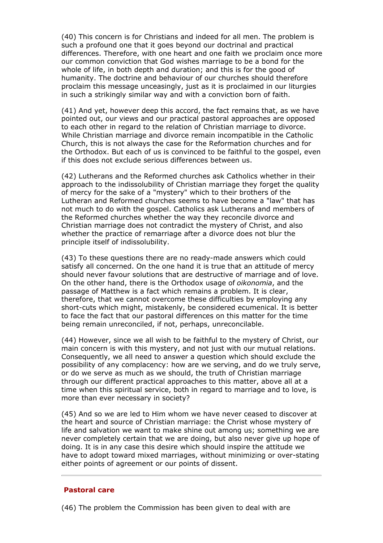(40) This concern is for Christians and indeed for all men. The problem is such a profound one that it goes beyond our doctrinal and practical differences. Therefore, with one heart and one faith we proclaim once more our common conviction that God wishes marriage to be a bond for the whole of life, in both depth and duration; and this is for the good of humanity. The doctrine and behaviour of our churches should therefore proclaim this message unceasingly, just as it is proclaimed in our liturgies in such a strikingly similar way and with a conviction born of faith.

(41) And yet, however deep this accord, the fact remains that, as we have pointed out, our views and our practical pastoral approaches are opposed to each other in regard to the relation of Christian marriage to divorce. While Christian marriage and divorce remain incompatible in the Catholic Church, this is not always the case for the Reformation churches and for the Orthodox. But each of us is convinced to be faithful to the gospel, even if this does not exclude serious differences between us.

(42) Lutherans and the Reformed churches ask Catholics whether in their approach to the indissolubility of Christian marriage they forget the quality of mercy for the sake of a "mystery" which to their brothers of the Lutheran and Reformed churches seems to have become a "law" that has not much to do with the gospel. Catholics ask Lutherans and members of the Reformed churches whether the way they reconcile divorce and Christian marriage does not contradict the mystery of Christ, and also whether the practice of remarriage after a divorce does not blur the principle itself of indissolubility.

(43) To these questions there are no ready-made answers which could satisfy all concerned. On the one hand it is true that an attitude of mercy should never favour solutions that are destructive of marriage and of love. On the other hand, there is the Orthodox usage of *oikonomia*, and the passage of Matthew is a fact which remains a problem. It is clear, therefore, that we cannot overcome these difficulties by employing any short-cuts which might, mistakenly, be considered ecumenical. It is better to face the fact that our pastoral differences on this matter for the time being remain unreconciled, if not, perhaps, unreconcilable.

(44) However, since we all wish to be faithful to the mystery of Christ, our main concern is with this mystery, and not just with our mutual relations. Consequently, we all need to answer a question which should exclude the possibility of any complacency: how are we serving, and do we truly serve, or do we serve as much as we should, the truth of Christian marriage through our different practical approaches to this matter, above all at a time when this spiritual service, both in regard to marriage and to love, is more than ever necessary in society?

(45) And so we are led to Him whom we have never ceased to discover at the heart and source of Christian marriage: the Christ whose mystery of life and salvation we want to make shine out among us; something we are never completely certain that we are doing, but also never give up hope of doing. It is in any case this desire which should inspire the attitude we have to adopt toward mixed marriages, without minimizing or over-stating either points of agreement or our points of dissent.

#### **Pastoral care**

(46) The problem the Commission has been given to deal with are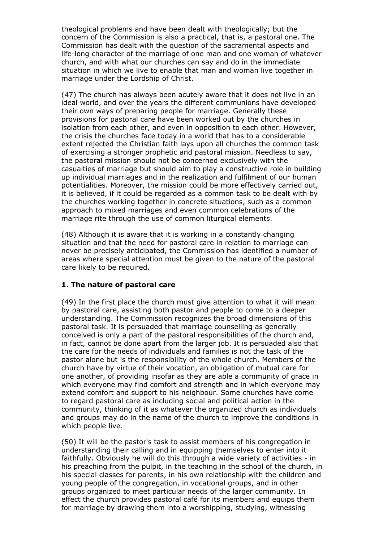theological problems and have been dealt with theologically; but the concern of the Commission is also a practical, that is, a pastoral one. The Commission has dealt with the question of the sacramental aspects and life-long character of the marriage of one man and one woman of whatever church, and with what our churches can say and do in the immediate situation in which we live to enable that man and woman live together in marriage under the Lordship of Christ.

(47) The church has always been acutely aware that it does not live in an ideal world, and over the years the different communions have developed their own ways of preparing people for marriage. Generally these provisions for pastoral care have been worked out by the churches in isolation from each other, and even in opposition to each other. However, the crisis the churches face today in a world that has to a considerable extent rejected the Christian faith lays upon all churches the common task of exercising a stronger prophetic and pastoral mission. Needless to say, the pastoral mission should not be concerned exclusively with the casualties of marriage but should aim to play a constructive role in building up individual marriages and in the realization and fulfilment of our human potentialities. Moreover, the mission could be more effectively carried out, it is believed, if it could be regarded as a common task to be dealt with by the churches working together in concrete situations, such as a common approach to mixed marriages and even common celebrations of the marriage rite through the use of common liturgical elements.

(48) Although it is aware that it is working in a constantly changing situation and that the need for pastoral care in relation to marriage can never be precisely anticipated, the Commission has identified a number of areas where special attention must be given to the nature of the pastoral care likely to be required.

# **1. The nature of pastoral care**

(49) In the first place the church must give attention to what it will mean by pastoral care, assisting both pastor and people to come to a deeper understanding. The Commission recognizes the broad dimensions of this pastoral task. It is persuaded that marriage counselling as generally conceived is only a part of the pastoral responsibilities of the church and, in fact, cannot be done apart from the larger job. It is persuaded also that the care for the needs of individuals and families is not the task of the pastor alone but is the responsibility of the whole church. Members of the church have by virtue of their vocation, an obligation of mutual care for one another, of providing insofar as they are able a community of grace in which everyone may find comfort and strength and in which everyone may extend comfort and support to his neighbour. Some churches have come to regard pastoral care as including social and political action in the community, thinking of it as whatever the organized church as individuals and groups may do in the name of the church to improve the conditions in which people live.

(50) It will be the pastor's task to assist members of his congregation in understanding their calling and in equipping themselves to enter into it faithfully. Obviously he will do this through a wide variety of activities - in his preaching from the pulpit, in the teaching in the school of the church, in his special classes for parents, in his own relationship with the children and young people of the congregation, in vocational groups, and in other groups organized to meet particular needs of the larger community. In effect the church provides pastoral café for its members and equips them for marriage by drawing them into a worshipping, studying, witnessing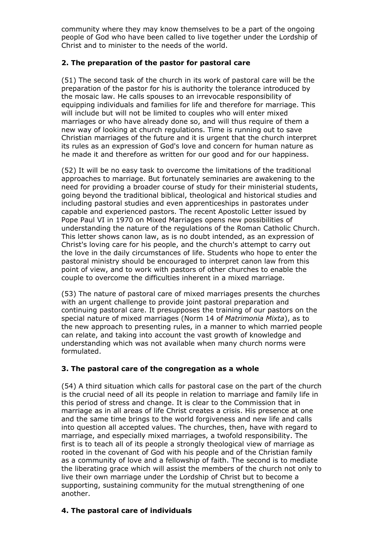community where they may know themselves to be a part of the ongoing people of God who have been called to live together under the Lordship of Christ and to minister to the needs of the world.

# **2. The preparation of the pastor for pastoral care**

(51) The second task of the church in its work of pastoral care will be the preparation of the pastor for his is authority the tolerance introduced by the mosaic law. He calls spouses to an irrevocable responsibility of equipping individuals and families for life and therefore for marriage. This will include but will not be limited to couples who will enter mixed marriages or who have already done so, and will thus require of them a new way of looking at church regulations. Time is running out to save Christian marriages of the future and it is urgent that the church interpret its rules as an expression of God's love and concern for human nature as he made it and therefore as written for our good and for our happiness.

(52) It will be no easy task to overcome the limitations of the traditional approaches to marriage. But fortunately seminaries are awakening to the need for providing a broader course of study for their ministerial students, going beyond the traditional biblical, theological and historical studies and including pastoral studies and even apprenticeships in pastorates under capable and experienced pastors. The recent Apostolic Letter issued by Pope Paul VI in 1970 on Mixed Marriages opens new possibilities of understanding the nature of the regulations of the Roman Catholic Church. This letter shows canon law, as is no doubt intended, as an expression of Christ's loving care for his people, and the church's attempt to carry out the love in the daily circumstances of life. Students who hope to enter the pastoral ministry should be encouraged to interpret canon law from this point of view, and to work with pastors of other churches to enable the couple to overcome the difficulties inherent in a mixed marriage.

(53) The nature of pastoral care of mixed marriages presents the churches with an urgent challenge to provide joint pastoral preparation and continuing pastoral care. It presupposes the training of our pastors on the special nature of mixed marriages (Norm 14 of *Matrimonia Mixta*), as to the new approach to presenting rules, in a manner to which married people can relate, and taking into account the vast growth of knowledge and understanding which was not available when many church norms were formulated.

# **3. The pastoral care of the congregation as a whole**

(54) A third situation which calls for pastoral case on the part of the church is the crucial need of all its people in relation to marriage and family life in this period of stress and change. It is clear to the Commission that in marriage as in all areas of life Christ creates a crisis. His presence at one and the same time brings to the world forgiveness and new life and calls into question all accepted values. The churches, then, have with regard to marriage, and especially mixed marriages, a twofold responsibility. The first is to teach all of its people a strongly theological view of marriage as rooted in the covenant of God with his people and of the Christian family as a community of love and a fellowship of faith. The second is to mediate the liberating grace which will assist the members of the church not only to live their own marriage under the Lordship of Christ but to become a supporting, sustaining community for the mutual strengthening of one another.

# **4. The pastoral care of individuals**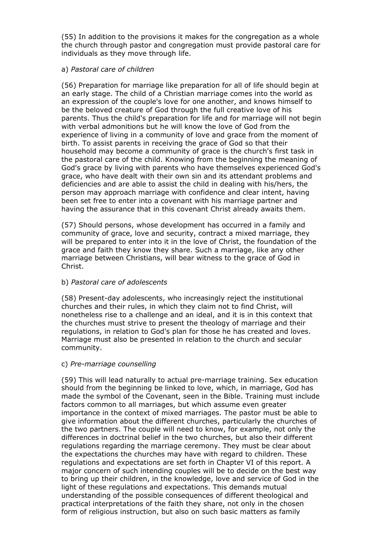(55) In addition to the provisions it makes for the congregation as a whole the church through pastor and congregation must provide pastoral care for individuals as they move through life.

### a) *Pastoral care of children*

(56) Preparation for marriage like preparation for all of life should begin at an early stage. The child of a Christian marriage comes into the world as an expression of the couple's love for one another, and knows himself to be the beloved creature of God through the full creative love of his parents. Thus the child's preparation for life and for marriage will not begin with verbal admonitions but he will know the love of God from the experience of living in a community of love and grace from the moment of birth. To assist parents in receiving the grace of God so that their household may become a community of grace is the church's first task in the pastoral care of the child. Knowing from the beginning the meaning of God's grace by living with parents who have themselves experienced God's grace, who have dealt with their own sin and its attendant problems and deficiencies and are able to assist the child in dealing with his/hers, the person may approach marriage with confidence and clear intent, having been set free to enter into a covenant with his marriage partner and having the assurance that in this covenant Christ already awaits them.

(57) Should persons, whose development has occurred in a family and community of grace, love and security, contract a mixed marriage, they will be prepared to enter into it in the love of Christ, the foundation of the grace and faith they know they share. Such a marriage, like any other marriage between Christians, will bear witness to the grace of God in Christ.

# b) *Pastoral care of adolescents*

(58) Present-day adolescents, who increasingly reject the institutional churches and their rules, in which they claim not to find Christ, will nonetheless rise to a challenge and an ideal, and it is in this context that the churches must strive to present the theology of marriage and their regulations, in relation to God's plan for those he has created and loves. Marriage must also be presented in relation to the church and secular community.

# c) *Pre-marriage counselling*

(59) This will lead naturally to actual pre-marriage training. Sex education should from the beginning be linked to love, which, in marriage, God has made the symbol of the Covenant, seen in the Bible. Training must include factors common to all marriages, but which assume even greater importance in the context of mixed marriages. The pastor must be able to give information about the different churches, particularly the churches of the two partners. The couple will need to know, for example, not only the differences in doctrinal belief in the two churches, but also their different regulations regarding the marriage ceremony. They must be clear about the expectations the churches may have with regard to children. These regulations and expectations are set forth in Chapter VI of this report. A major concern of such intending couples will be to decide on the best way to bring up their children, in the knowledge, love and service of God in the light of these regulations and expectations. This demands mutual understanding of the possible consequences of different theological and practical interpretations of the faith they share, not only in the chosen form of religious instruction, but also on such basic matters as family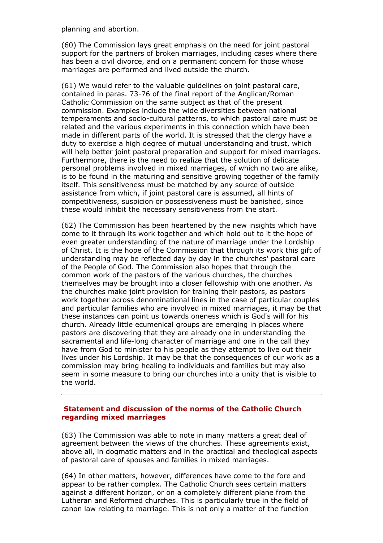planning and abortion.

(60) The Commission lays great emphasis on the need for joint pastoral support for the partners of broken marriages, including cases where there has been a civil divorce, and on a permanent concern for those whose marriages are performed and lived outside the church.

(61) We would refer to the valuable guidelines on joint pastoral care, contained in paras. 73-76 of the final report of the Anglican/Roman Catholic Commission on the same subject as that of the present commission. Examples include the wide diversities between national temperaments and socio-cultural patterns, to which pastoral care must be related and the various experiments in this connection which have been made in different parts of the world. It is stressed that the clergy have a duty to exercise a high degree of mutual understanding and trust, which will help better joint pastoral preparation and support for mixed marriages. Furthermore, there is the need to realize that the solution of delicate personal problems involved in mixed marriages, of which no two are alike, is to be found in the maturing and sensitive growing together of the family itself. This sensitiveness must be matched by any source of outside assistance from which, if joint pastoral care is assumed, all hints of competitiveness, suspicion or possessiveness must be banished, since these would inhibit the necessary sensitiveness from the start.

(62) The Commission has been heartened by the new insights which have come to it through its work together and which hold out to it the hope of even greater understanding of the nature of marriage under the Lordship of Christ. It is the hope of the Commission that through its work this gift of understanding may be reflected day by day in the churches' pastoral care of the People of God. The Commission also hopes that through the common work of the pastors of the various churches, the churches themselves may be brought into a closer fellowship with one another. As the churches make joint provision for training their pastors, as pastors work together across denominational lines in the case of particular couples and particular families who are involved in mixed marriages, it may be that these instances can point us towards oneness which is God's will for his church. Already little ecumenical groups are emerging in places where pastors are discovering that they are already one in understanding the sacramental and life-long character of marriage and one in the call they have from God to minister to his people as they attempt to live out their lives under his Lordship. It may be that the consequences of our work as a commission may bring healing to individuals and families but may also seem in some measure to bring our churches into a unity that is visible to the world.

## **Statement and discussion of the norms of the Catholic Church regarding mixed marriages**

(63) The Commission was able to note in many matters a great deal of agreement between the views of the churches. These agreements exist, above all, in dogmatic matters and in the practical and theological aspects of pastoral care of spouses and families in mixed marriages.

(64) In other matters, however, differences have come to the fore and appear to be rather complex. The Catholic Church sees certain matters against a different horizon, or on a completely different plane from the Lutheran and Reformed churches. This is particularly true in the field of canon law relating to marriage. This is not only a matter of the function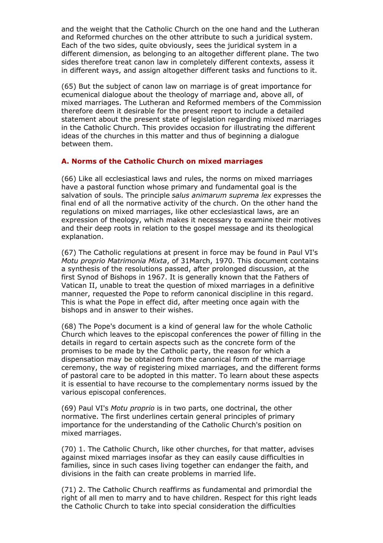and the weight that the Catholic Church on the one hand and the Lutheran and Reformed churches on the other attribute to such a juridical system. Each of the two sides, quite obviously, sees the juridical system in a different dimension, as belonging to an altogether different plane. The two sides therefore treat canon law in completely different contexts, assess it in different ways, and assign altogether different tasks and functions to it.

(65) But the subject of canon law on marriage is of great importance for ecumenical dialogue about the theology of marriage and, above all, of mixed marriages. The Lutheran and Reformed members of the Commission therefore deem it desirable for the present report to include a detailed statement about the present state of legislation regarding mixed marriages in the Catholic Church. This provides occasion for illustrating the different ideas of the churches in this matter and thus of beginning a dialogue between them.

### **A. Norms of the Catholic Church on mixed marriages**

(66) Like all ecclesiastical laws and rules, the norms on mixed marriages have a pastoral function whose primary and fundamental goal is the salvation of souls. The principle *salus animarum suprema lex* expresses the final end of all the normative activity of the church. On the other hand the regulations on mixed marriages, like other ecclesiastical laws, are an expression of theology, which makes it necessary to examine their motives and their deep roots in relation to the gospel message and its theological explanation.

(67) The Catholic regulations at present in force may be found in Paul VI's *Motu proprio Matrimonia Mixta*, of 31March, 1970. This document contains a synthesis of the resolutions passed, after prolonged discussion, at the first Synod of Bishops in 1967. It is generally known that the Fathers of Vatican II, unable to treat the question of mixed marriages in a definitive manner, requested the Pope to reform canonical discipline in this regard. This is what the Pope in effect did, after meeting once again with the bishops and in answer to their wishes.

(68) The Pope's document is a kind of general law for the whole Catholic Church which leaves to the episcopal conferences the power of filling in the details in regard to certain aspects such as the concrete form of the promises to be made by the Catholic party, the reason for which a dispensation may be obtained from the canonical form of the marriage ceremony, the way of registering mixed marriages, and the different forms of pastoral care to be adopted in this matter. To learn about these aspects it is essential to have recourse to the complementary norms issued by the various episcopal conferences.

(69) Paul VI's *Motu proprio* is in two parts, one doctrinal, the other normative. The first underlines certain general principles of primary importance for the understanding of the Catholic Church's position on mixed marriages.

(70) 1. The Catholic Church, like other churches, for that matter, advises against mixed marriages insofar as they can easily cause difficulties in families, since in such cases living together can endanger the faith, and divisions in the faith can create problems in married life.

(71) 2. The Catholic Church reaffirms as fundamental and primordial the right of all men to marry and to have children. Respect for this right leads the Catholic Church to take into special consideration the difficulties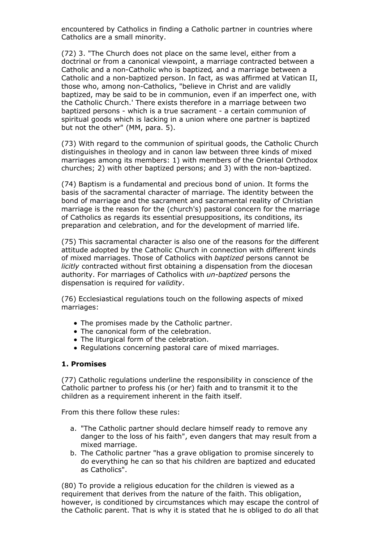encountered by Catholics in finding a Catholic partner in countries where Catholics are a small minority.

(72) 3. "The Church does not place on the same level, either from a doctrinal or from a canonical viewpoint, a marriage contracted between a Catholic and a non-Catholic who is baptized*,* and a marriage between a Catholic and a non-baptized person. In fact, as was affirmed at Vatican II, those who, among non-Catholics, "believe in Christ and are validly baptized, may be said to be in communion, even if an imperfect one, with the Catholic Church.' There exists therefore in a marriage between two baptized persons - which is a true sacrament - a certain communion of spiritual goods which is lacking in a union where one partner is baptized but not the other" (MM, para. 5).

(73) With regard to the communion of spiritual goods, the Catholic Church distinguishes in theology and in canon law between three kinds of mixed marriages among its members: 1) with members of the Oriental Orthodox churches; 2) with other baptized persons; and 3) with the non-baptized.

(74) Baptism is a fundamental and precious bond of union. It forms the basis of the sacramental character of marriage. The identity between the bond of marriage and the sacrament and sacramental reality of Christian marriage is the reason for the (church's) pastoral concern for the marriage of Catholics as regards its essential presuppositions, its conditions, its preparation and celebration, and for the development of married life.

(75) This sacramental character is also one of the reasons for the different attitude adopted by the Catholic Church in connection with different kinds of mixed marriages. Those of Catholics with *baptized* persons cannot be *licitly* contracted without first obtaining a dispensation from the diocesan authority. For marriages of Catholics with *un-baptized* persons the dispensation is required for *validity*.

(76) Ecclesiastical regulations touch on the following aspects of mixed marriages:

- The promises made by the Catholic partner.
- The canonical form of the celebration.
- The liturgical form of the celebration.
- Regulations concerning pastoral care of mixed marriages.

### **1. Promises**

(77) Catholic regulations underline the responsibility in conscience of the Catholic partner to profess his (or her) faith and to transmit it to the children as a requirement inherent in the faith itself.

From this there follow these rules:

- "The Catholic partner should declare himself ready to remove any a. danger to the loss of his faith", even dangers that may result from a mixed marriage.
- The Catholic partner "has a grave obligation to promise sincerely to b. do everything he can so that his children are baptized and educated as Catholics".

(80) To provide a religious education for the children is viewed as a requirement that derives from the nature of the faith. This obligation, however, is conditioned by circumstances which may escape the control of the Catholic parent. That is why it is stated that he is obliged to do all that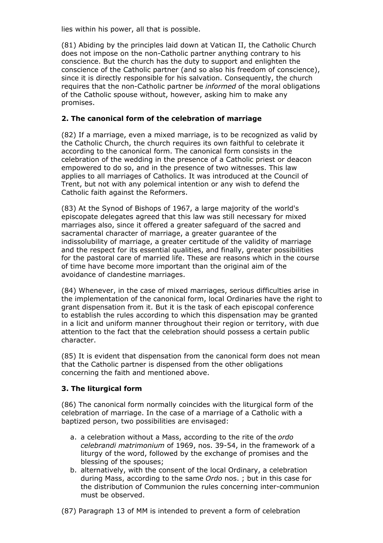lies within his power, all that is possible.

(81) Abiding by the principles laid down at Vatican II, the Catholic Church does not impose on the non-Catholic partner anything contrary to his conscience. But the church has the duty to support and enlighten the conscience of the Catholic partner (and so also his freedom of conscience), since it is directly responsible for his salvation. Consequently, the church requires that the non-Catholic partner be *informed* of the moral obligations of the Catholic spouse without, however, asking him to make any promises.

# **2. The canonical form of the celebration of marriage**

(82) If a marriage, even a mixed marriage, is to be recognized as valid by the Catholic Church, the church requires its own faithful to celebrate it according to the canonical form. The canonical form consists in the celebration of the wedding in the presence of a Catholic priest or deacon empowered to do so, and in the presence of two witnesses. This law applies to all marriages of Catholics. It was introduced at the Council of Trent, but not with any polemical intention or any wish to defend the Catholic faith against the Reformers.

(83) At the Synod of Bishops of 1967, a large majority of the world's episcopate delegates agreed that this law was still necessary for mixed marriages also, since it offered a greater safeguard of the sacred and sacramental character of marriage, a greater guarantee of the indissolubility of marriage, a greater certitude of the validity of marriage and the respect for its essential qualities, and finally, greater possibilities for the pastoral care of married life. These are reasons which in the course of time have become more important than the original aim of the avoidance of clandestine marriages.

(84) Whenever, in the case of mixed marriages, serious difficulties arise in the implementation of the canonical form, local Ordinaries have the right to grant dispensation from it. But it is the task of each episcopal conference to establish the rules according to which this dispensation may be granted in a licit and uniform manner throughout their region or territory, with due attention to the fact that the celebration should possess a certain public character.

(85) It is evident that dispensation from the canonical form does not mean that the Catholic partner is dispensed from the other obligations concerning the faith and mentioned above.

# **3. The liturgical form**

(86) The canonical form normally coincides with the liturgical form of the celebration of marriage. In the case of a marriage of a Catholic with a baptized person, two possibilities are envisaged:

- a. a celebration without a Mass, according to the rite of the ordo *celebrandi matrimonium* of 1969, nos. 39-54, in the framework of a liturgy of the word, followed by the exchange of promises and the blessing of the spouses;
- b. alternatively, with the consent of the local Ordinary, a celebration during Mass, according to the same *Ordo* nos. ; but in this case for the distribution of Communion the rules concerning inter-communion must be observed.
- (87) Paragraph 13 of MM is intended to prevent a form of celebration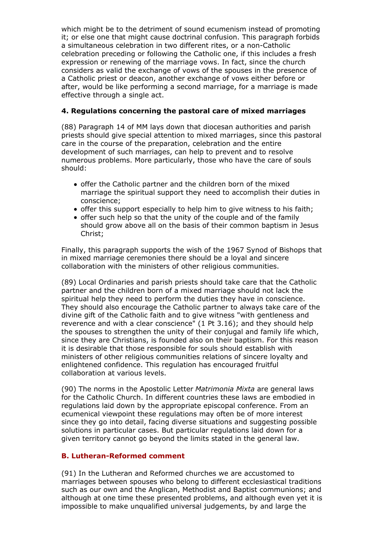which might be to the detriment of sound ecumenism instead of promoting it; or else one that might cause doctrinal confusion. This paragraph forbids a simultaneous celebration in two different rites, or a non-Catholic celebration preceding or following the Catholic one, if this includes a fresh expression or renewing of the marriage vows. In fact, since the church considers as valid the exchange of vows of the spouses in the presence of a Catholic priest or deacon, another exchange of vows either before or after, would be like performing a second marriage, for a marriage is made effective through a single act.

# **4. Regulations concerning the pastoral care of mixed marriages**

(88) Paragraph 14 of MM lays down that diocesan authorities and parish priests should give special attention to mixed marriages, since this pastoral care in the course of the preparation, celebration and the entire development of such marriages, can help to prevent and to resolve numerous problems. More particularly, those who have the care of souls should:

- offer the Catholic partner and the children born of the mixed marriage the spiritual support they need to accomplish their duties in conscience;
- offer this support especially to help him to give witness to his faith;
- offer such help so that the unity of the couple and of the family should grow above all on the basis of their common baptism in Jesus Christ;

Finally, this paragraph supports the wish of the 1967 Synod of Bishops that in mixed marriage ceremonies there should be a loyal and sincere collaboration with the ministers of other religious communities.

(89) Local Ordinaries and parish priests should take care that the Catholic partner and the children born of a mixed marriage should not lack the spiritual help they need to perform the duties they have in conscience. They should also encourage the Catholic partner to always take care of the divine gift of the Catholic faith and to give witness "with gentleness and reverence and with a clear conscience" (1 Pt 3.16); and they should help the spouses to strengthen the unity of their conjugal and family life which, since they are Christians, is founded also on their baptism. For this reason it is desirable that those responsible for souls should establish with ministers of other religious communities relations of sincere loyalty and enlightened confidence. This regulation has encouraged fruitful collaboration at various levels.

(90) The norms in the Apostolic Letter *Matrimonia Mixta* are general laws for the Catholic Church. In different countries these laws are embodied in regulations laid down by the appropriate episcopal conference. From an ecumenical viewpoint these regulations may often be of more interest since they go into detail, facing diverse situations and suggesting possible solutions in particular cases. But particular regulations laid down for a given territory cannot go beyond the limits stated in the general law.

## **B. Lutheran-Reformed comment**

(91) In the Lutheran and Reformed churches we are accustomed to marriages between spouses who belong to different ecclesiastical traditions such as our own and the Anglican, Methodist and Baptist communions; and although at one time these presented problems, and although even yet it is impossible to make unqualified universal judgements, by and large the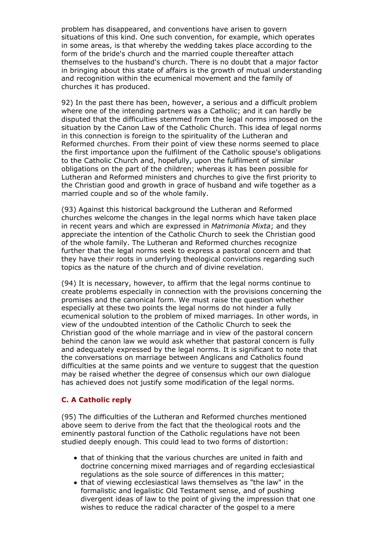problem has disappeared, and conventions have arisen to govern situations of this kind. One such convention, for example, which operates in some areas, is that whereby the wedding takes place according to the form of the bride's church and the married couple thereafter attach themselves to the husband's church. There is no doubt that a major factor in bringing about this state of affairs is the growth of mutual understanding and recognition within the ecumenical movement and the family of churches it has produced.

92) In the past there has been, however, a serious and a difficult problem where one of the intending partners was a Catholic; and it can hardly be disputed that the difficulties stemmed from the legal norms imposed on the situation by the Canon Law of the Catholic Church. This idea of legal norms in this connection is foreign to the spirituality of the Lutheran and Reformed churches. From their point of view these norms seemed to place the first importance upon the fulfilment of the Catholic spouse's obligations to the Catholic Church and, hopefully, upon the fulfilment of similar obligations on the part of the children; whereas it has been possible for Lutheran and Reformed ministers and churches to give the first priority to the Christian good and growth in grace of husband and wife together as a married couple and so of the whole family.

(93) Against this historical background the Lutheran and Reformed churches welcome the changes in the legal norms which have taken place in recent years and which are expressed in *Matrimonia Mixta*; and they appreciate the intention of the Catholic Church to seek the Christian good of the whole family. The Lutheran and Reformed churches recognize further that the legal norms seek to express a pastoral concern and that they have their roots in underlying theological convictions regarding such topics as the nature of the church and of divine revelation.

(94) It is necessary, however, to affirm that the legal norms continue to create problems especially in connection with the provisions concerning the promises and the canonical form. We must raise the question whether especially at these two points the legal norms do not hinder a fully ecumenical solution to the problem of mixed marriages. In other words, in view of the undoubted intention of the Catholic Church to seek the Christian good of the whole marriage and in view of the pastoral concern behind the canon law we would ask whether that pastoral concern is fully and adequately expressed by the legal norms. It is significant to note that the conversations on marriage between Anglicans and Catholics found difficulties at the same points and we venture to suggest that the question may be raised whether the degree of consensus which our own dialogue has achieved does not justify some modification of the legal norms.

# **C. A Catholic reply**

(95) The difficulties of the Lutheran and Reformed churches mentioned above seem to derive from the fact that the theological roots and the eminently pastoral function of the Catholic regulations have not been studied deeply enough. This could lead to two forms of distortion:

- that of thinking that the various churches are united in faith and doctrine concerning mixed marriages and of regarding ecclesiastical regulations as the sole source of differences in this matter;
- that of viewing ecclesiastical laws themselves as "the law" in the formalistic and legalistic Old Testament sense, and of pushing divergent ideas of law to the point of giving the impression that one wishes to reduce the radical character of the gospel to a mere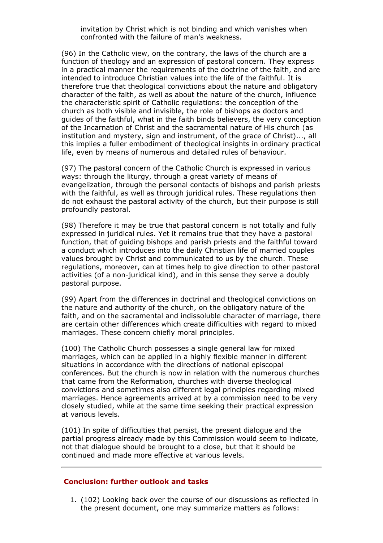invitation by Christ which is not binding and which vanishes when confronted with the failure of man's weakness.

(96) In the Catholic view, on the contrary, the laws of the church are a function of theology and an expression of pastoral concern. They express in a practical manner the requirements of the doctrine of the faith, and are intended to introduce Christian values into the life of the faithful. It is therefore true that theological convictions about the nature and obligatory character of the faith, as well as about the nature of the church, influence the characteristic spirit of Catholic regulations: the conception of the church as both visible and invisible, the role of bishops as doctors and guides of the faithful, what in the faith binds believers, the very conception of the Incarnation of Christ and the sacramental nature of His church (as institution and mystery, sign and instrument, of the grace of Christ)..., all this implies a fuller embodiment of theological insights in ordinary practical life, even by means of numerous and detailed rules of behaviour.

(97) The pastoral concern of the Catholic Church is expressed in various ways: through the liturgy, through a great variety of means of evangelization, through the personal contacts of bishops and parish priests with the faithful, as well as through juridical rules. These regulations then do not exhaust the pastoral activity of the church, but their purpose is still profoundly pastoral.

(98) Therefore it may be true that pastoral concern is not totally and fully expressed in juridical rules. Yet it remains true that they have a pastoral function, that of guiding bishops and parish priests and the faithful toward a conduct which introduces into the daily Christian life of married couples values brought by Christ and communicated to us by the church. These regulations, moreover, can at times help to give direction to other pastoral activities (of a non-juridical kind), and in this sense they serve a doubly pastoral purpose.

(99) Apart from the differences in doctrinal and theological convictions on the nature and authority of the church, on the obligatory nature of the faith, and on the sacramental and indissoluble character of marriage, there are certain other differences which create difficulties with regard to mixed marriages. These concern chiefly moral principles.

(100) The Catholic Church possesses a single general law for mixed marriages, which can be applied in a highly flexible manner in different situations in accordance with the directions of national episcopal conferences. But the church is now in relation with the numerous churches that came from the Reformation, churches with diverse theological convictions and sometimes also different legal principles regarding mixed marriages. Hence agreements arrived at by a commission need to be very closely studied, while at the same time seeking their practical expression at various levels.

(101) In spite of difficulties that persist, the present dialogue and the partial progress already made by this Commission would seem to indicate, not that dialogue should be brought to a close, but that it should be continued and made more effective at various levels.

#### **Conclusion: further outlook and tasks**

1. (102) Looking back over the course of our discussions as reflected in the present document, one may summarize matters as follows: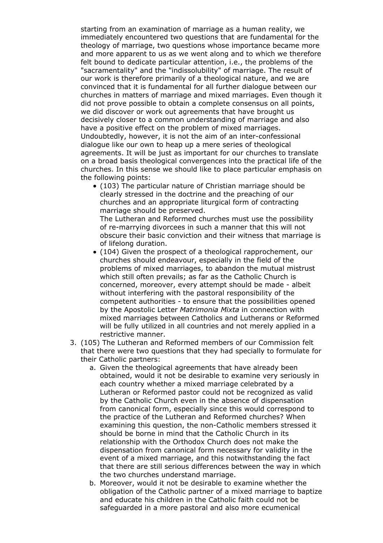starting from an examination of marriage as a human reality, we immediately encountered two questions that are fundamental for the theology of marriage, two questions whose importance became more and more apparent to us as we went along and to which we therefore felt bound to dedicate particular attention, i.e., the problems of the "sacramentality" and the "indissolubility" of marriage. The result of our work is therefore primarily of a theological nature, and we are convinced that it is fundamental for all further dialogue between our churches in matters of marriage and mixed marriages. Even though it did not prove possible to obtain a complete consensus on all points, we did discover or work out agreements that have brought us decisively closer to a common understanding of marriage and also have a positive effect on the problem of mixed marriages. Undoubtedly, however, it is not the aim of an inter-confessional dialogue like our own to heap up a mere series of theological agreements. It will be just as important for our churches to translate on a broad basis theological convergences into the practical life of the churches. In this sense we should like to place particular emphasis on the following points:

(103) The particular nature of Christian marriage should be clearly stressed in the doctrine and the preaching of our churches and an appropriate liturgical form of contracting marriage should be preserved.

The Lutheran and Reformed churches must use the possibility of re-marrying divorcees in such a manner that this will not obscure their basic conviction and their witness that marriage is of lifelong duration.

- (104) Given the prospect of a theological rapprochement, our churches should endeavour, especially in the field of the problems of mixed marriages, to abandon the mutual mistrust which still often prevails; as far as the Catholic Church is concerned, moreover, every attempt should be made - albeit without interfering with the pastoral responsibility of the competent authorities - to ensure that the possibilities opened by the Apostolic Letter *Matrimonia Mixta* in connection with mixed marriages between Catholics and Lutherans or Reformed will be fully utilized in all countries and not merely applied in a restrictive manner.
- (105) The Lutheran and Reformed members of our Commission felt 3.that there were two questions that they had specially to formulate for their Catholic partners:
	- a. Given the theological agreements that have already been obtained, would it not be desirable to examine very seriously in each country whether a mixed marriage celebrated by a Lutheran or Reformed pastor could not be recognized as valid by the Catholic Church even in the absence of dispensation from canonical form, especially since this would correspond to the practice of the Lutheran and Reformed churches? When examining this question, the non-Catholic members stressed it should be borne in mind that the Catholic Church in its relationship with the Orthodox Church does not make the dispensation from canonical form necessary for validity in the event of a mixed marriage, and this notwithstanding the fact that there are still serious differences between the way in which the two churches understand marriage.
	- b. Moreover, would it not be desirable to examine whether the obligation of the Catholic partner of a mixed marriage to baptize and educate his children in the Catholic faith could not be safeguarded in a more pastoral and also more ecumenical